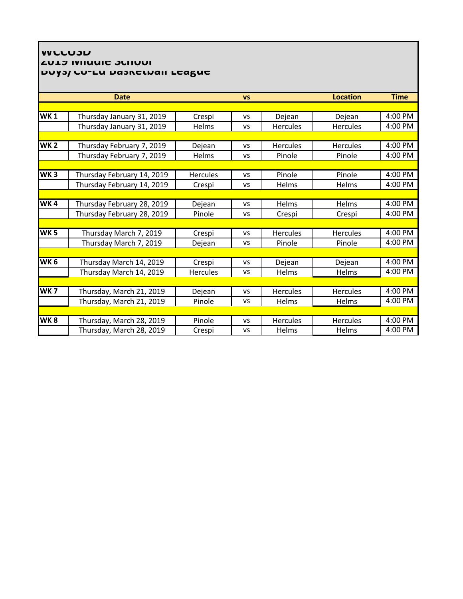## **WALLOU AND ACTION CONTAINS DUYS/CU-EU DASKELWAII LEAGUE**

| <b>VS</b> |                 | <b>Location</b> |             |
|-----------|-----------------|-----------------|-------------|
|           |                 |                 | <b>Time</b> |
|           |                 |                 |             |
| <b>VS</b> | Dejean          | Dejean          | 4:00 PM     |
| VS        | <b>Hercules</b> | <b>Hercules</b> | $4:00$ PM   |
|           |                 |                 |             |
| <b>VS</b> | <b>Hercules</b> | <b>Hercules</b> | 4:00 PM     |
| VS        | Pinole          | Pinole          | $4:00$ PM   |
|           |                 |                 |             |
| <b>VS</b> | Pinole          | Pinole          | 4:00 PM     |
| VS        | Helms           | Helms           | $4:00$ PM   |
|           |                 |                 |             |
| VS        | Helms           | Helms           | 4:00 PM     |
| VS        | Crespi          | Crespi          | 4:00 PM     |
|           |                 |                 |             |
| <b>VS</b> | <b>Hercules</b> | <b>Hercules</b> | 4:00 PM     |
| VS        | Pinole          | Pinole          | $4:00$ PM   |
|           |                 |                 |             |
| <b>VS</b> | Dejean          | Dejean          | 4:00 PM     |
| VS        | Helms           | Helms           | 4:00 PM     |
|           |                 |                 |             |
| <b>VS</b> | Hercules        | <b>Hercules</b> | 4:00 PM     |
| VS        | Helms           | Helms           | $4:00$ PM   |
|           |                 |                 |             |
| <b>VS</b> | <b>Hercules</b> | <b>Hercules</b> | 4:00 PM     |
| VS        | Helms           | Helms           | 4:00 PM     |
|           |                 |                 |             |